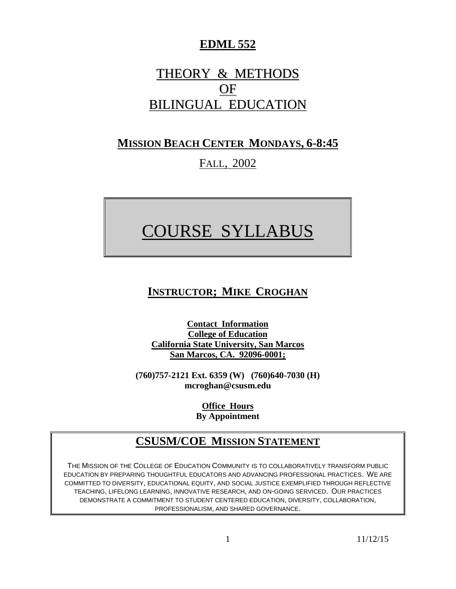## **EDML 552**

# THEORY & METHODS OF BILINGUAL EDUCATION

## **MISSION BEACH CENTER MONDAYS, 6-8:45**

## FALL, 2002

# COURSE SYLLABUS

# **INSTRUCTOR; MIKE CROGHAN**

**Contact Information College of Education California State University, San Marcos San Marcos, CA. 92096-0001;**

**(760)757-2121 Ext. 6359 (W) (760)640-7030 (H) mcroghan@csusm.edu**

> **Office Hours By Appointment**

## **CSUSM/COE MISSION STATEMENT**

THE MISSION OF THE COLLEGE OF EDUCATION COMMUNITY IS TO COLLABORATIVELY TRANSFORM PUBLIC EDUCATION BY PREPARING THOUGHTFUL EDUCATORS AND ADVANCING PROFESSIONAL PRACTICES. WE ARE COMMITTED TO DIVERSITY, EDUCATIONAL EQUITY, AND SOCIAL JUSTICE EXEMPLIFIED THROUGH REFLECTIVE TEACHING, LIFELONG LEARNING, INNOVATIVE RESEARCH, AND ON-GOING SERVICED. OUR PRACTICES DEMONSTRATE A COMMITMENT TO STUDENT CENTERED EDUCATION, DIVERSITY, COLLABORATION, PROFESSIONALISM, AND SHARED GOVERNANCE.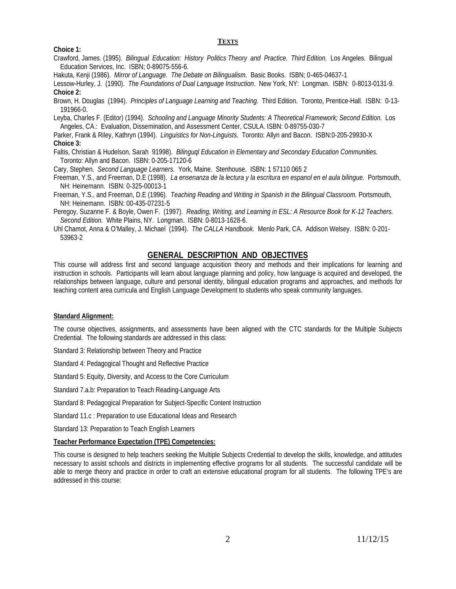#### **TEXTS**

#### **Choice 1:**

Crawford, James. (1995). *Bilingual Education: History Politics Theory and Practice. Third Edition.* Los Angeles. Bilingual Education Services, Inc. ISBN; 0-89075-556-6.

Hakuta, Kenji (1986). *Mirror of Language. The Debate on Bilingualism.* Basic Books. ISBN; 0-465-04637-1

Lessow-Hurley, J. (1990). *The Foundations of Dual Language Instruction*. New York, NY: Longman. ISBN: 0-8013-0131-9. **Choice 2:**

Brown, H. Douglas (1994). *Principles of Language Learning and Teaching.* Third Edition. Toronto, Prentice-Hall. ISBN: 0-13- 191966-0.

Leyba, Charles F. (Editor) (1994). *Schooling and Language Minority Students: A Theoretical Framework; Second Edition.* Los Angeles, CA.: Evaluation, Dissemination, and Assessment Center, CSULA. ISBN: 0-89755-030-7

Parker, Frank & Riley, Kathryn (1994). *Linguistics for Non-Linguists.* Toronto: Allyn and Bacon. ISBN:0-205-29930-X **Choice 3:**

Faltis, Christian & Hudelson, Sarah 91998). *Bilinguql Education in Elementary and Secondary Education Communities.* Toronto: Allyn and Bacon. ISBN: 0-205-17120-6

Cary, Stephen. *Second Language Learners.* York, Maine. Stenhouse. ISBN: 1 57110 065 2

Freeman, Y.S., and Freeman, D.E (1998). *La ensenanza de la lectura y la escritura en espanol en el aula bilingue.* Portsmouth, NH: Heinemann. ISBN: 0-325-00013-1

Freeman, Y.S., and Freeman, D.E (1996). *Teaching Reading and Writing in Spanish in the Bilingual Classroom.* Portsmouth, NH: Heinemann. ISBN: 00-435-07231-5

Peregoy, Suzanne F. & Boyle, Owen F. (1997). *Reading, Writing, and Learning in ESL: A Resource Book for K-12 Teachers. Second Edition.* White Plains, NY. Longman. ISBN: 0-8013-1628-6.

Uhl Chamot, Anna & O'Malley, J. Michael (1994). *The CALLA Handbook*. Menlo Park, CA. Addison Welsey. ISBN: 0-201- 53963-2

#### **GENERAL DESCRIPTION AND OBJECTIVES**

This course will address first and second language acquisition theory and methods and their implications for learning and instruction in schools. Participants will learn about language planning and policy, how language is acquired and developed, the relationships between language, culture and personal identity, bilingual education programs and approaches, and methods for teaching content area curricula and English Language Development to students who speak community languages.

#### **Standard Alignment:**

The course objectives, assignments, and assessments have been aligned with the CTC standards for the Multiple Subjects Credential. The following standards are addressed in this class:

Standard 3: Relationship between Theory and Practice

Standard 4: Pedagogical Thought and Reflective Practice

Standard 5: Equity, Diversity, and Access to the Core Curriculum

Standard 7.a.b: Preparation to Teach Reading-Language Arts

Standard 8: Pedagogical Preparation for Subject-Specific Content Instruction

Standard 11.c : Preparation to use Educational Ideas and Research

Standard 13: Preparation to Teach English Learners

#### **Teacher Performance Expectation (TPE) Competencies:**

This course is designed to help teachers seeking the Multiple Subjects Credential to develop the skills, knowledge, and attitudes necessary to assist schools and districts in implementing effective programs for all students. The successful candidate will be able to merge theory and practice in order to craft an extensive educational program for all students. The following TPE's are addressed in this course: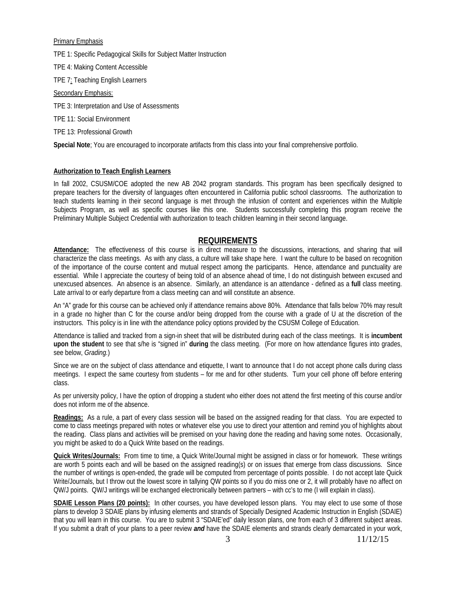Primary Emphasis

TPE 1: Specific Pedagogical Skills for Subject Matter Instruction

TPE 4: Making Content Accessible

TPE 7: Teaching English Learners

Secondary Emphasis:

TPE 3: Interpretation and Use of Assessments

TPE 11: Social Environment

TPE 13: Professional Growth

**Special Note**; You are encouraged to incorporate artifacts from this class into your final comprehensive portfolio.

#### **Authorization to Teach English Learners**

In fall 2002, CSUSM/COE adopted the new AB 2042 program standards. This program has been specifically designed to prepare teachers for the diversity of languages often encountered in California public school classrooms. The authorization to teach students learning in their second language is met through the infusion of content and experiences within the Multiple Subjects Program, as well as specific courses like this one. Students successfully completing this program receive the Preliminary Multiple Subject Credential with authorization to teach children learning in their second language.

### **REQUIREMENTS**

**Attendance:** The effectiveness of this course is in direct measure to the discussions, interactions, and sharing that will characterize the class meetings. As with any class, a culture will take shape here. I want the culture to be based on recognition of the importance of the course content and mutual respect among the participants. Hence, attendance and punctuality are essential. While I appreciate the courtesy of being told of an absence ahead of time, I do not distinguish between excused and unexcused absences. An absence is an absence. Similarly, an attendance is an attendance - defined as a **full** class meeting. Late arrival to or early departure from a class meeting can and will constitute an absence.

An "A" grade for this course can be achieved only if attendance remains above 80%. Attendance that falls below 70% may result in a grade no higher than C for the course and/or being dropped from the course with a grade of U at the discretion of the instructors. This policy is in line with the attendance policy options provided by the CSUSM College of Education.

Attendance is tallied and tracked from a sign-in sheet that will be distributed during each of the class meetings. It is **incumbent upon the student** to see that s/he is "signed in" **during** the class meeting. (For more on how attendance figures into grades, see below, *Grading.*)

Since we are on the subject of class attendance and etiquette, I want to announce that I do not accept phone calls during class meetings. I expect the same courtesy from students – for me and for other students. Turn your cell phone off before entering class.

As per university policy, I have the option of dropping a student who either does not attend the first meeting of this course and/or does not inform me of the absence.

**Readings:** As a rule, a part of every class session will be based on the assigned reading for that class. You are expected to come to class meetings prepared with notes or whatever else you use to direct your attention and remind you of highlights about the reading. Class plans and activities will be premised on your having done the reading and having some notes. Occasionally, you might be asked to do a Quick Write based on the readings.

**Quick Writes/Journals:** From time to time, a Quick Write/Journal might be assigned in class or for homework. These writings are worth 5 points each and will be based on the assigned reading(s) or on issues that emerge from class discussions. Since the number of writings is open-ended, the grade will be computed from percentage of points possible. I do not accept late Quick Write/Journals, but I throw out the lowest score in tallying QW points so if you do miss one or 2, it will probably have no affect on QW/J points. QW/J writings will be exchanged electronically between partners – with cc's to me (I will explain in class).

**SDAIE Lesson Plans (20 points):** In other courses, you have developed lesson plans. You may elect to use some of those plans to develop 3 SDAIE plans by infusing elements and strands of Specially Designed Academic Instruction in English (SDAIE) that you will learn in this course. You are to submit 3 "SDAIE'ed" daily lesson plans, one from each of 3 different subject areas. If you submit a draft of your plans to a peer review *and* have the SDAIE elements and strands clearly demarcated in your work,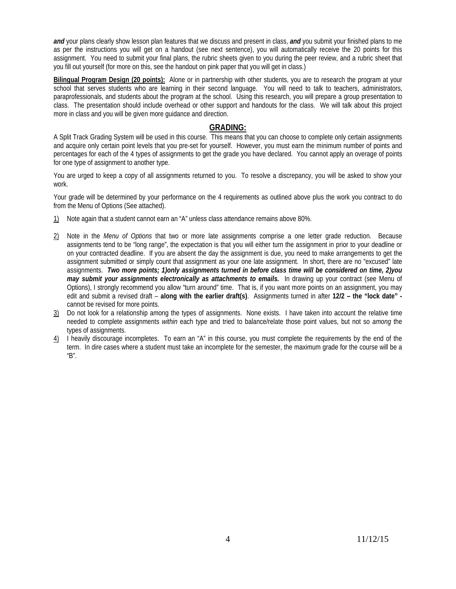*and* your plans clearly show lesson plan features that we discuss and present in class, *and* you submit your finished plans to me as per the instructions you will get on a handout (see next sentence), you will automatically receive the 20 points for this assignment. You need to submit your final plans, the rubric sheets given to you during the peer review, and a rubric sheet that you fill out yourself (for more on this, see the handout on pink paper that you will get in class.)

**Bilingual Program Design (20 points):** Alone or in partnership with other students, you are to research the program at your school that serves students who are learning in their second language. You will need to talk to teachers, administrators, paraprofessionals, and students about the program at the school. Using this research, you will prepare a group presentation to class. The presentation should include overhead or other support and handouts for the class. We will talk about this project more in class and you will be given more guidance and direction.

#### **GRADING:**

A Split Track Grading System will be used in this course. This means that you can choose to complete only certain assignments and acquire only certain point levels that you pre-set for yourself. However, you must earn the minimum number of points and percentages for each of the 4 types of assignments to get the grade you have declared. You cannot apply an overage of points for one type of assignment to another type.

You are urged to keep a copy of all assignments returned to you. To resolve a discrepancy, you will be asked to show your work.

Your grade will be determined by your performance on the 4 requirements as outlined above plus the work you contract to do from the Menu of Options (See attached).

- 1) Note again that a student cannot earn an "A" unless class attendance remains above 80%.
- 2) Note in the *Menu of Options* that two or more late assignments comprise a one letter grade reduction. Because assignments tend to be "long range", the expectation is that you will either turn the assignment in prior to your deadline or on your contracted deadline. If you are absent the day the assignment is due, you need to make arrangements to get the assignment submitted or simply count that assignment as your one late assignment. In short, there are no "excused" late assignments. *Two more points; 1)only assignments turned in before class time will be considered on time, 2)you may submit your assignments electronically as attachments to emails.* In drawing up your contract (see Menu of Options), I strongly recommend you allow "turn around" time. That is, if you want more points on an assignment, you may edit and submit a revised draft – **along with the earlier draft(s)**. Assignments turned in after **12/2 – the "lock date"**  cannot be revised for more points.
- 3) Do not look for a relationship among the types of assignments. None exists. I have taken into account the relative time needed to complete assignments *within* each type and tried to balance/relate those point values, but not so *among* the types of assignments.
- 4) I heavily discourage incompletes. To earn an "A" in this course, you must complete the requirements by the end of the term. In dire cases where a student must take an incomplete for the semester, the maximum grade for the course will be a "B".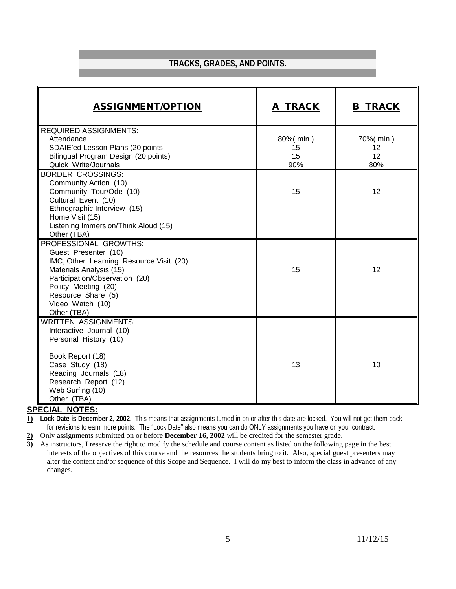## **TRACKS, GRADES, AND POINTS.**

| <b>ASSIGNMENT/OPTION</b>                                                                                                                                                                                                               | A TRACK                      | <b>B TRACK</b>                |
|----------------------------------------------------------------------------------------------------------------------------------------------------------------------------------------------------------------------------------------|------------------------------|-------------------------------|
| <b>REQUIRED ASSIGNMENTS:</b><br>Attendance<br>SDAIE'ed Lesson Plans (20 points<br>Bilingual Program Design (20 points)<br>Quick Write/Journals                                                                                         | 80%(min.)<br>15<br>15<br>90% | 70%( min.)<br>12<br>12<br>80% |
| <b>BORDER CROSSINGS:</b><br>Community Action (10)<br>Community Tour/Ode (10)<br>Cultural Event (10)<br>Ethnographic Interview (15)<br>Home Visit (15)<br>Listening Immersion/Think Aloud (15)<br>Other (TBA)                           | 15                           | 12                            |
| PROFESSIONAL GROWTHS:<br>Guest Presenter (10)<br>IMC, Other Learning Resource Visit. (20)<br>Materials Analysis (15)<br>Participation/Observation (20)<br>Policy Meeting (20)<br>Resource Share (5)<br>Video Watch (10)<br>Other (TBA) | 15                           | 12                            |
| <b>WRITTEN ASSIGNMENTS:</b><br>Interactive Journal (10)<br>Personal History (10)<br>Book Report (18)<br>Case Study (18)<br>Reading Journals (18)<br>Research Report (12)<br>Web Surfing (10)<br>Other (TBA)                            | 13                           | 10                            |

#### **SPECIAL NOTES:**

**1) Lock Date is December 2, 2002**. This means that assignments turned in on or after this date are locked. You will not get them back for revisions to earn more points. The "Lock Date" also means you can do ONLY assignments you have on your contract.

**2)** Only assignments submitted on or before **December 16, 2002** will be credited for the semester grade.

**3)** As instructors, I reserve the right to modify the schedule and course content as listed on the following page in the best interests of the objectives of this course and the resources the students bring to it. Also, special guest presenters may alter the content and/or sequence of this Scope and Sequence. I will do my best to inform the class in advance of any changes.